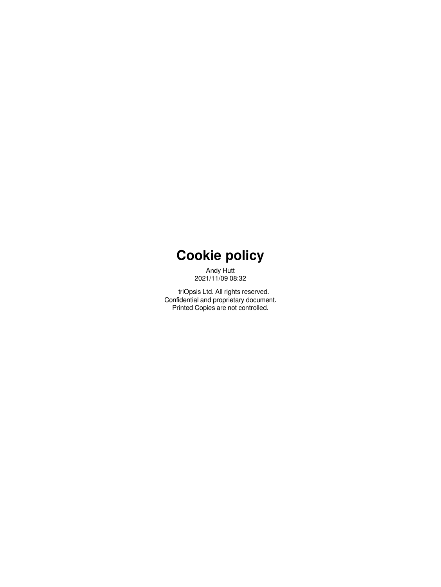# **Cookie policy**

Andy Hutt 2021/11/09 08:32

triOpsis Ltd. All rights reserved. Confidential and proprietary document. Printed Copies are not controlled.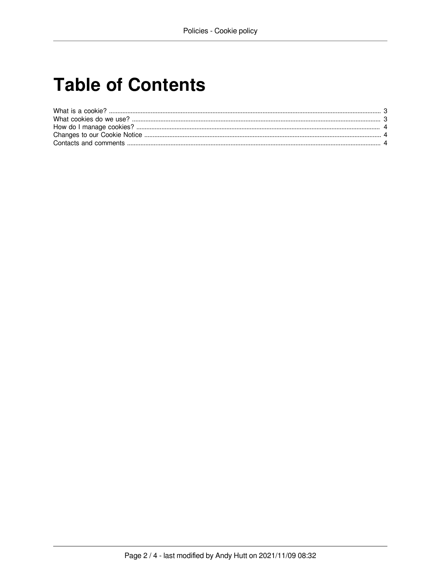# **Table of Contents**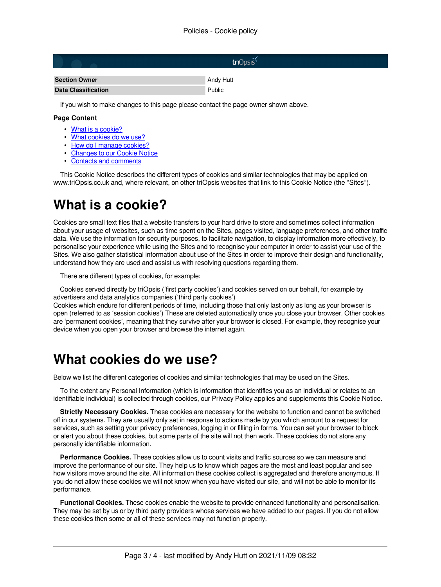|                            | triOpsis <sup>*</sup> |
|----------------------------|-----------------------|
| <b>Section Owner</b>       | Andy Hutt             |
| <b>Data Classification</b> | Public                |

If you wish to make changes to this page please contact the page owner shown above.

#### **Page Content**

- [What is a cookie?](#page-2-2)
- [What cookies do we use?](#page-2-3)
- [How do I manage cookies?](#page-3-3)
- [Changes to our Cookie Notice](#page-3-4)
- [Contacts and comments](#page-3-5)

This Cookie Notice describes the different types of cookies and similar technologies that may be applied on www.triOpsis.co.uk and, where relevant, on other triOpsis websites that link to this Cookie Notice (the "Sites").

## <span id="page-2-2"></span><span id="page-2-0"></span>**What is a cookie?**

Cookies are small text files that a website transfers to your hard drive to store and sometimes collect information about your usage of websites, such as time spent on the Sites, pages visited, language preferences, and other traffic data. We use the information for security purposes, to facilitate navigation, to display information more effectively, to personalise your experience while using the Sites and to recognise your computer in order to assist your use of the Sites. We also gather statistical information about use of the Sites in order to improve their design and functionality, understand how they are used and assist us with resolving questions regarding them.

There are different types of cookies, for example:

Cookies served directly by triOpsis ('first party cookies') and cookies served on our behalf, for example by advertisers and data analytics companies ('third party cookies')

Cookies which endure for different periods of time, including those that only last only as long as your browser is open (referred to as 'session cookies') These are deleted automatically once you close your browser. Other cookies are 'permanent cookies', meaning that they survive after your browser is closed. For example, they recognise your device when you open your browser and browse the internet again.

### <span id="page-2-3"></span><span id="page-2-1"></span>**What cookies do we use?**

Below we list the different categories of cookies and similar technologies that may be used on the Sites.

To the extent any Personal Information (which is information that identifies you as an individual or relates to an identifiable individual) is collected through cookies, our Privacy Policy applies and supplements this Cookie Notice.

**Strictly Necessary Cookies.** These cookies are necessary for the website to function and cannot be switched off in our systems. They are usually only set in response to actions made by you which amount to a request for services, such as setting your privacy preferences, logging in or filling in forms. You can set your browser to block or alert you about these cookies, but some parts of the site will not then work. These cookies do not store any personally identifiable information.

**Performance Cookies.** These cookies allow us to count visits and traffic sources so we can measure and improve the performance of our site. They help us to know which pages are the most and least popular and see how visitors move around the site. All information these cookies collect is aggregated and therefore anonymous. If you do not allow these cookies we will not know when you have visited our site, and will not be able to monitor its performance.

**Functional Cookies.** These cookies enable the website to provide enhanced functionality and personalisation. They may be set by us or by third party providers whose services we have added to our pages. If you do not allow these cookies then some or all of these services may not function properly.